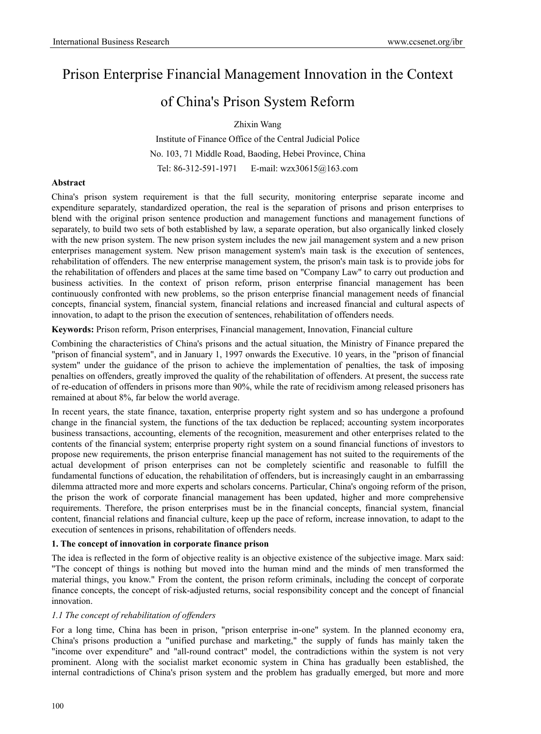# Prison Enterprise Financial Management Innovation in the Context

# of China's Prison System Reform

Zhixin Wang

Institute of Finance Office of the Central Judicial Police No. 103, 71 Middle Road, Baoding, Hebei Province, China Tel: 86-312-591-1971 E-mail: wzx30615@163.com

## **Abstract**

China's prison system requirement is that the full security, monitoring enterprise separate income and expenditure separately, standardized operation, the real is the separation of prisons and prison enterprises to blend with the original prison sentence production and management functions and management functions of separately, to build two sets of both established by law, a separate operation, but also organically linked closely with the new prison system. The new prison system includes the new jail management system and a new prison enterprises management system. New prison management system's main task is the execution of sentences, rehabilitation of offenders. The new enterprise management system, the prison's main task is to provide jobs for the rehabilitation of offenders and places at the same time based on "Company Law" to carry out production and business activities. In the context of prison reform, prison enterprise financial management has been continuously confronted with new problems, so the prison enterprise financial management needs of financial concepts, financial system, financial system, financial relations and increased financial and cultural aspects of innovation, to adapt to the prison the execution of sentences, rehabilitation of offenders needs.

**Keywords:** Prison reform, Prison enterprises, Financial management, Innovation, Financial culture

Combining the characteristics of China's prisons and the actual situation, the Ministry of Finance prepared the "prison of financial system", and in January 1, 1997 onwards the Executive. 10 years, in the "prison of financial system" under the guidance of the prison to achieve the implementation of penalties, the task of imposing penalties on offenders, greatly improved the quality of the rehabilitation of offenders. At present, the success rate of re-education of offenders in prisons more than 90%, while the rate of recidivism among released prisoners has remained at about 8%, far below the world average.

In recent years, the state finance, taxation, enterprise property right system and so has undergone a profound change in the financial system, the functions of the tax deduction be replaced; accounting system incorporates business transactions, accounting, elements of the recognition, measurement and other enterprises related to the contents of the financial system; enterprise property right system on a sound financial functions of investors to propose new requirements, the prison enterprise financial management has not suited to the requirements of the actual development of prison enterprises can not be completely scientific and reasonable to fulfill the fundamental functions of education, the rehabilitation of offenders, but is increasingly caught in an embarrassing dilemma attracted more and more experts and scholars concerns. Particular, China's ongoing reform of the prison, the prison the work of corporate financial management has been updated, higher and more comprehensive requirements. Therefore, the prison enterprises must be in the financial concepts, financial system, financial content, financial relations and financial culture, keep up the pace of reform, increase innovation, to adapt to the execution of sentences in prisons, rehabilitation of offenders needs.

## **1. The concept of innovation in corporate finance prison**

The idea is reflected in the form of objective reality is an objective existence of the subjective image. Marx said: "The concept of things is nothing but moved into the human mind and the minds of men transformed the material things, you know." From the content, the prison reform criminals, including the concept of corporate finance concepts, the concept of risk-adjusted returns, social responsibility concept and the concept of financial innovation.

## *1.1 The concept of rehabilitation of offenders*

For a long time, China has been in prison, "prison enterprise in-one" system. In the planned economy era, China's prisons production a "unified purchase and marketing," the supply of funds has mainly taken the "income over expenditure" and "all-round contract" model, the contradictions within the system is not very prominent. Along with the socialist market economic system in China has gradually been established, the internal contradictions of China's prison system and the problem has gradually emerged, but more and more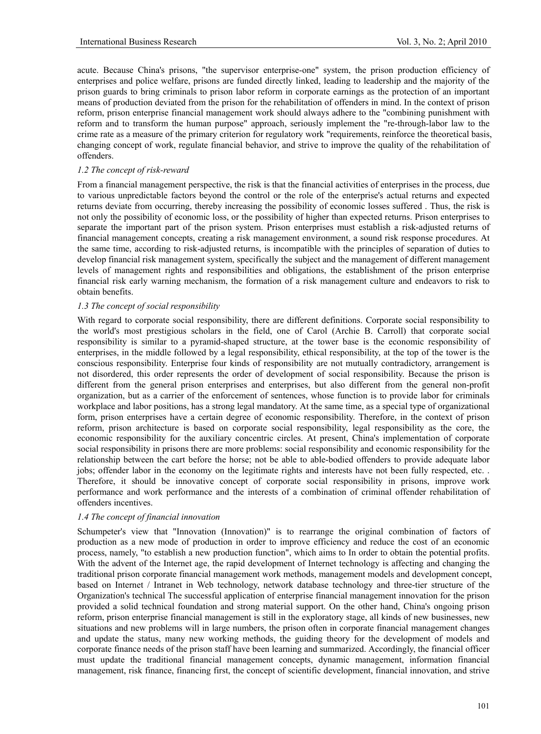acute. Because China's prisons, "the supervisor enterprise-one" system, the prison production efficiency of enterprises and police welfare, prisons are funded directly linked, leading to leadership and the majority of the prison guards to bring criminals to prison labor reform in corporate earnings as the protection of an important means of production deviated from the prison for the rehabilitation of offenders in mind. In the context of prison reform, prison enterprise financial management work should always adhere to the "combining punishment with reform and to transform the human purpose" approach, seriously implement the "re-through-labor law to the crime rate as a measure of the primary criterion for regulatory work "requirements, reinforce the theoretical basis, changing concept of work, regulate financial behavior, and strive to improve the quality of the rehabilitation of offenders.

## *1.2 The concept of risk-reward*

From a financial management perspective, the risk is that the financial activities of enterprises in the process, due to various unpredictable factors beyond the control or the role of the enterprise's actual returns and expected returns deviate from occurring, thereby increasing the possibility of economic losses suffered . Thus, the risk is not only the possibility of economic loss, or the possibility of higher than expected returns. Prison enterprises to separate the important part of the prison system. Prison enterprises must establish a risk-adjusted returns of financial management concepts, creating a risk management environment, a sound risk response procedures. At the same time, according to risk-adjusted returns, is incompatible with the principles of separation of duties to develop financial risk management system, specifically the subject and the management of different management levels of management rights and responsibilities and obligations, the establishment of the prison enterprise financial risk early warning mechanism, the formation of a risk management culture and endeavors to risk to obtain benefits.

## *1.3 The concept of social responsibility*

With regard to corporate social responsibility, there are different definitions. Corporate social responsibility to the world's most prestigious scholars in the field, one of Carol (Archie B. Carroll) that corporate social responsibility is similar to a pyramid-shaped structure, at the tower base is the economic responsibility of enterprises, in the middle followed by a legal responsibility, ethical responsibility, at the top of the tower is the conscious responsibility. Enterprise four kinds of responsibility are not mutually contradictory, arrangement is not disordered, this order represents the order of development of social responsibility. Because the prison is different from the general prison enterprises and enterprises, but also different from the general non-profit organization, but as a carrier of the enforcement of sentences, whose function is to provide labor for criminals workplace and labor positions, has a strong legal mandatory. At the same time, as a special type of organizational form, prison enterprises have a certain degree of economic responsibility. Therefore, in the context of prison reform, prison architecture is based on corporate social responsibility, legal responsibility as the core, the economic responsibility for the auxiliary concentric circles. At present, China's implementation of corporate social responsibility in prisons there are more problems: social responsibility and economic responsibility for the relationship between the cart before the horse; not be able to able-bodied offenders to provide adequate labor jobs; offender labor in the economy on the legitimate rights and interests have not been fully respected, etc. . Therefore, it should be innovative concept of corporate social responsibility in prisons, improve work performance and work performance and the interests of a combination of criminal offender rehabilitation of offenders incentives.

## *1.4 The concept of financial innovation*

Schumpeter's view that "Innovation (Innovation)" is to rearrange the original combination of factors of production as a new mode of production in order to improve efficiency and reduce the cost of an economic process, namely, "to establish a new production function", which aims to In order to obtain the potential profits. With the advent of the Internet age, the rapid development of Internet technology is affecting and changing the traditional prison corporate financial management work methods, management models and development concept, based on Internet / Intranet in Web technology, network database technology and three-tier structure of the Organization's technical The successful application of enterprise financial management innovation for the prison provided a solid technical foundation and strong material support. On the other hand, China's ongoing prison reform, prison enterprise financial management is still in the exploratory stage, all kinds of new businesses, new situations and new problems will in large numbers, the prison often in corporate financial management changes and update the status, many new working methods, the guiding theory for the development of models and corporate finance needs of the prison staff have been learning and summarized. Accordingly, the financial officer must update the traditional financial management concepts, dynamic management, information financial management, risk finance, financing first, the concept of scientific development, financial innovation, and strive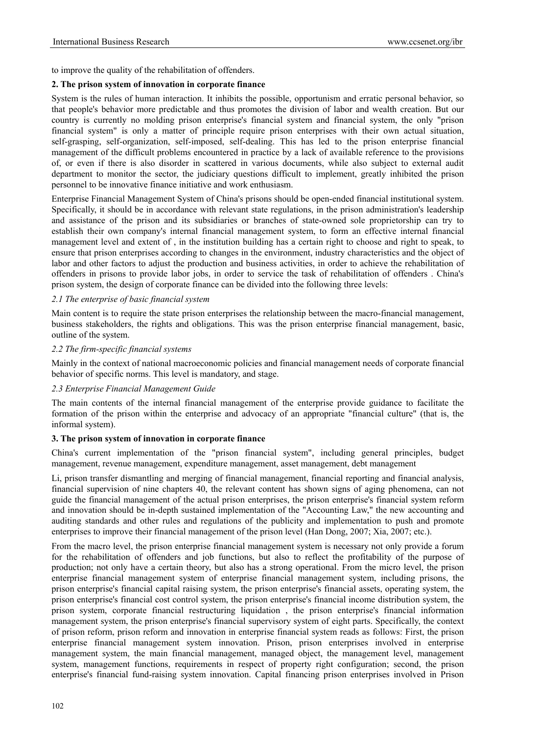to improve the quality of the rehabilitation of offenders.

## **2. The prison system of innovation in corporate finance**

System is the rules of human interaction. It inhibits the possible, opportunism and erratic personal behavior, so that people's behavior more predictable and thus promotes the division of labor and wealth creation. But our country is currently no molding prison enterprise's financial system and financial system, the only "prison financial system" is only a matter of principle require prison enterprises with their own actual situation, self-grasping, self-organization, self-imposed, self-dealing. This has led to the prison enterprise financial management of the difficult problems encountered in practice by a lack of available reference to the provisions of, or even if there is also disorder in scattered in various documents, while also subject to external audit department to monitor the sector, the judiciary questions difficult to implement, greatly inhibited the prison personnel to be innovative finance initiative and work enthusiasm.

Enterprise Financial Management System of China's prisons should be open-ended financial institutional system. Specifically, it should be in accordance with relevant state regulations, in the prison administration's leadership and assistance of the prison and its subsidiaries or branches of state-owned sole proprietorship can try to establish their own company's internal financial management system, to form an effective internal financial management level and extent of , in the institution building has a certain right to choose and right to speak, to ensure that prison enterprises according to changes in the environment, industry characteristics and the object of labor and other factors to adjust the production and business activities, in order to achieve the rehabilitation of offenders in prisons to provide labor jobs, in order to service the task of rehabilitation of offenders . China's prison system, the design of corporate finance can be divided into the following three levels:

## *2.1 The enterprise of basic financial system*

Main content is to require the state prison enterprises the relationship between the macro-financial management, business stakeholders, the rights and obligations. This was the prison enterprise financial management, basic, outline of the system.

## *2.2 The firm-specific financial systems*

Mainly in the context of national macroeconomic policies and financial management needs of corporate financial behavior of specific norms. This level is mandatory, and stage.

## *2.3 Enterprise Financial Management Guide*

The main contents of the internal financial management of the enterprise provide guidance to facilitate the formation of the prison within the enterprise and advocacy of an appropriate "financial culture" (that is, the informal system).

## **3. The prison system of innovation in corporate finance**

China's current implementation of the "prison financial system", including general principles, budget management, revenue management, expenditure management, asset management, debt management

Li, prison transfer dismantling and merging of financial management, financial reporting and financial analysis, financial supervision of nine chapters 40, the relevant content has shown signs of aging phenomena, can not guide the financial management of the actual prison enterprises, the prison enterprise's financial system reform and innovation should be in-depth sustained implementation of the "Accounting Law," the new accounting and auditing standards and other rules and regulations of the publicity and implementation to push and promote enterprises to improve their financial management of the prison level (Han Dong, 2007; Xia, 2007; etc.).

From the macro level, the prison enterprise financial management system is necessary not only provide a forum for the rehabilitation of offenders and job functions, but also to reflect the profitability of the purpose of production; not only have a certain theory, but also has a strong operational. From the micro level, the prison enterprise financial management system of enterprise financial management system, including prisons, the prison enterprise's financial capital raising system, the prison enterprise's financial assets, operating system, the prison enterprise's financial cost control system, the prison enterprise's financial income distribution system, the prison system, corporate financial restructuring liquidation , the prison enterprise's financial information management system, the prison enterprise's financial supervisory system of eight parts. Specifically, the context of prison reform, prison reform and innovation in enterprise financial system reads as follows: First, the prison enterprise financial management system innovation. Prison, prison enterprises involved in enterprise management system, the main financial management, managed object, the management level, management system, management functions, requirements in respect of property right configuration; second, the prison enterprise's financial fund-raising system innovation. Capital financing prison enterprises involved in Prison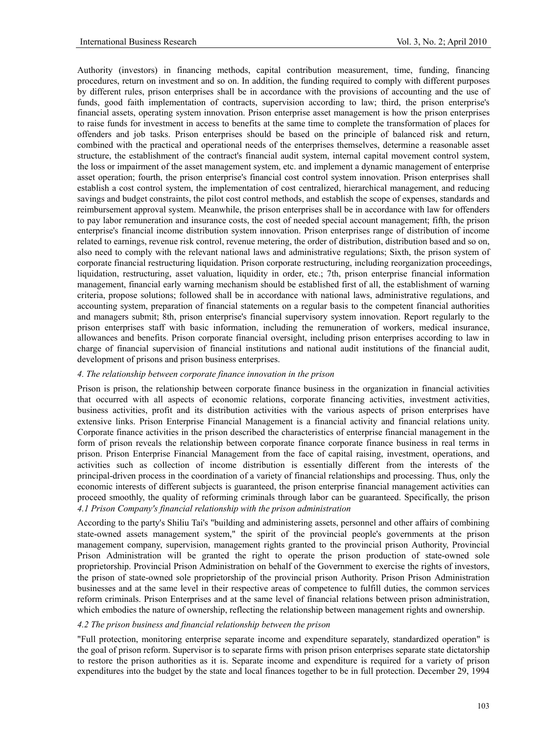Authority (investors) in financing methods, capital contribution measurement, time, funding, financing procedures, return on investment and so on. In addition, the funding required to comply with different purposes by different rules, prison enterprises shall be in accordance with the provisions of accounting and the use of funds, good faith implementation of contracts, supervision according to law; third, the prison enterprise's financial assets, operating system innovation. Prison enterprise asset management is how the prison enterprises to raise funds for investment in access to benefits at the same time to complete the transformation of places for offenders and job tasks. Prison enterprises should be based on the principle of balanced risk and return, combined with the practical and operational needs of the enterprises themselves, determine a reasonable asset structure, the establishment of the contract's financial audit system, internal capital movement control system, the loss or impairment of the asset management system, etc. and implement a dynamic management of enterprise asset operation; fourth, the prison enterprise's financial cost control system innovation. Prison enterprises shall establish a cost control system, the implementation of cost centralized, hierarchical management, and reducing savings and budget constraints, the pilot cost control methods, and establish the scope of expenses, standards and reimbursement approval system. Meanwhile, the prison enterprises shall be in accordance with law for offenders to pay labor remuneration and insurance costs, the cost of needed special account management; fifth, the prison enterprise's financial income distribution system innovation. Prison enterprises range of distribution of income related to earnings, revenue risk control, revenue metering, the order of distribution, distribution based and so on, also need to comply with the relevant national laws and administrative regulations; Sixth, the prison system of corporate financial restructuring liquidation. Prison corporate restructuring, including reorganization proceedings, liquidation, restructuring, asset valuation, liquidity in order, etc.; 7th, prison enterprise financial information management, financial early warning mechanism should be established first of all, the establishment of warning criteria, propose solutions; followed shall be in accordance with national laws, administrative regulations, and accounting system, preparation of financial statements on a regular basis to the competent financial authorities and managers submit; 8th, prison enterprise's financial supervisory system innovation. Report regularly to the prison enterprises staff with basic information, including the remuneration of workers, medical insurance, allowances and benefits. Prison corporate financial oversight, including prison enterprises according to law in charge of financial supervision of financial institutions and national audit institutions of the financial audit, development of prisons and prison business enterprises.

## *4. The relationship between corporate finance innovation in the prison*

Prison is prison, the relationship between corporate finance business in the organization in financial activities that occurred with all aspects of economic relations, corporate financing activities, investment activities, business activities, profit and its distribution activities with the various aspects of prison enterprises have extensive links. Prison Enterprise Financial Management is a financial activity and financial relations unity. Corporate finance activities in the prison described the characteristics of enterprise financial management in the form of prison reveals the relationship between corporate finance corporate finance business in real terms in prison. Prison Enterprise Financial Management from the face of capital raising, investment, operations, and activities such as collection of income distribution is essentially different from the interests of the principal-driven process in the coordination of a variety of financial relationships and processing. Thus, only the economic interests of different subjects is guaranteed, the prison enterprise financial management activities can proceed smoothly, the quality of reforming criminals through labor can be guaranteed. Specifically, the prison *4.1 Prison Company's financial relationship with the prison administration* 

According to the party's Shiliu Tai's "building and administering assets, personnel and other affairs of combining state-owned assets management system," the spirit of the provincial people's governments at the prison management company, supervision, management rights granted to the provincial prison Authority, Provincial Prison Administration will be granted the right to operate the prison production of state-owned sole proprietorship. Provincial Prison Administration on behalf of the Government to exercise the rights of investors, the prison of state-owned sole proprietorship of the provincial prison Authority. Prison Prison Administration businesses and at the same level in their respective areas of competence to fulfill duties, the common services reform criminals. Prison Enterprises and at the same level of financial relations between prison administration, which embodies the nature of ownership, reflecting the relationship between management rights and ownership.

## *4.2 The prison business and financial relationship between the prison*

"Full protection, monitoring enterprise separate income and expenditure separately, standardized operation" is the goal of prison reform. Supervisor is to separate firms with prison prison enterprises separate state dictatorship to restore the prison authorities as it is. Separate income and expenditure is required for a variety of prison expenditures into the budget by the state and local finances together to be in full protection. December 29, 1994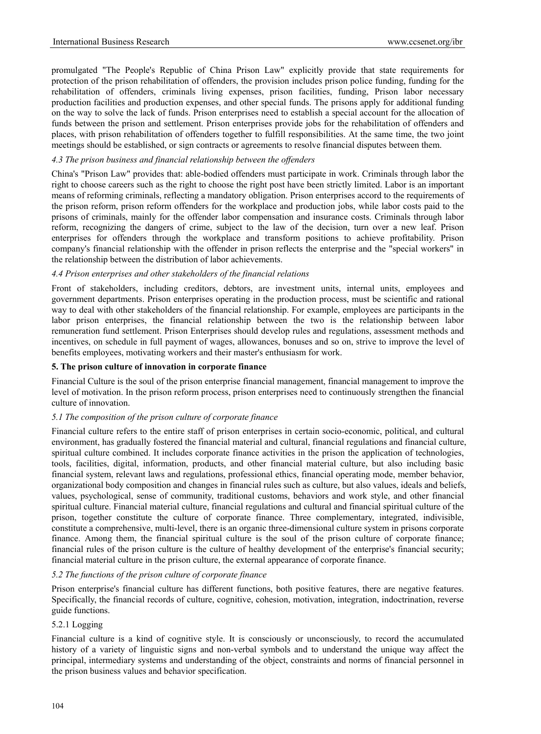promulgated "The People's Republic of China Prison Law" explicitly provide that state requirements for protection of the prison rehabilitation of offenders, the provision includes prison police funding, funding for the rehabilitation of offenders, criminals living expenses, prison facilities, funding, Prison labor necessary production facilities and production expenses, and other special funds. The prisons apply for additional funding on the way to solve the lack of funds. Prison enterprises need to establish a special account for the allocation of funds between the prison and settlement. Prison enterprises provide jobs for the rehabilitation of offenders and places, with prison rehabilitation of offenders together to fulfill responsibilities. At the same time, the two joint meetings should be established, or sign contracts or agreements to resolve financial disputes between them.

## *4.3 The prison business and financial relationship between the offenders*

China's "Prison Law" provides that: able-bodied offenders must participate in work. Criminals through labor the right to choose careers such as the right to choose the right post have been strictly limited. Labor is an important means of reforming criminals, reflecting a mandatory obligation. Prison enterprises accord to the requirements of the prison reform, prison reform offenders for the workplace and production jobs, while labor costs paid to the prisons of criminals, mainly for the offender labor compensation and insurance costs. Criminals through labor reform, recognizing the dangers of crime, subject to the law of the decision, turn over a new leaf. Prison enterprises for offenders through the workplace and transform positions to achieve profitability. Prison company's financial relationship with the offender in prison reflects the enterprise and the "special workers" in the relationship between the distribution of labor achievements.

## *4.4 Prison enterprises and other stakeholders of the financial relations*

Front of stakeholders, including creditors, debtors, are investment units, internal units, employees and government departments. Prison enterprises operating in the production process, must be scientific and rational way to deal with other stakeholders of the financial relationship. For example, employees are participants in the labor prison enterprises, the financial relationship between the two is the relationship between labor remuneration fund settlement. Prison Enterprises should develop rules and regulations, assessment methods and incentives, on schedule in full payment of wages, allowances, bonuses and so on, strive to improve the level of benefits employees, motivating workers and their master's enthusiasm for work.

## **5. The prison culture of innovation in corporate finance**

Financial Culture is the soul of the prison enterprise financial management, financial management to improve the level of motivation. In the prison reform process, prison enterprises need to continuously strengthen the financial culture of innovation.

## *5.1 The composition of the prison culture of corporate finance*

Financial culture refers to the entire staff of prison enterprises in certain socio-economic, political, and cultural environment, has gradually fostered the financial material and cultural, financial regulations and financial culture, spiritual culture combined. It includes corporate finance activities in the prison the application of technologies, tools, facilities, digital, information, products, and other financial material culture, but also including basic financial system, relevant laws and regulations, professional ethics, financial operating mode, member behavior, organizational body composition and changes in financial rules such as culture, but also values, ideals and beliefs, values, psychological, sense of community, traditional customs, behaviors and work style, and other financial spiritual culture. Financial material culture, financial regulations and cultural and financial spiritual culture of the prison, together constitute the culture of corporate finance. Three complementary, integrated, indivisible, constitute a comprehensive, multi-level, there is an organic three-dimensional culture system in prisons corporate finance. Among them, the financial spiritual culture is the soul of the prison culture of corporate finance; financial rules of the prison culture is the culture of healthy development of the enterprise's financial security; financial material culture in the prison culture, the external appearance of corporate finance.

## *5.2 The functions of the prison culture of corporate finance*

Prison enterprise's financial culture has different functions, both positive features, there are negative features. Specifically, the financial records of culture, cognitive, cohesion, motivation, integration, indoctrination, reverse guide functions.

## 5.2.1 Logging

Financial culture is a kind of cognitive style. It is consciously or unconsciously, to record the accumulated history of a variety of linguistic signs and non-verbal symbols and to understand the unique way affect the principal, intermediary systems and understanding of the object, constraints and norms of financial personnel in the prison business values and behavior specification.